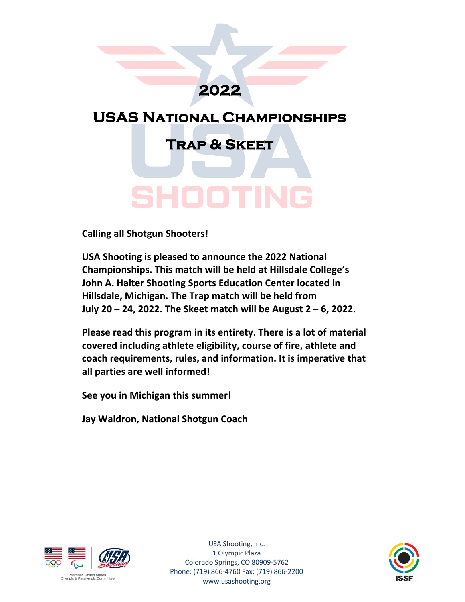# **2022**

# **USAS National Championships**

**Trap & Skeet**

# SHOOTI

**Calling all Shotgun Shooters!**

**USA Shooting is pleased to announce the 2022 National Championships. This match will be held at Hillsdale College's John A. Halter Shooting Sports Education Center located in Hillsdale, Michigan. The Trap match will be held from July 20 – 24, 2022. The Skeet match will be August 2 – 6, 2022.**

**Please read this program in its entirety. There is a lot of material covered including athlete eligibility, course of fire, athlete and coach requirements, rules, and information. It is imperative that all parties are well informed!**

**See you in Michigan this summer!**

**Jay Waldron, National Shotgun Coach**



USA Shooting, Inc. 1 Olympic Plaza Colorado Springs, CO 80909-5762 Phone: (719) 866-4760 Fax: (719) 866-2200 www.usashooting.org

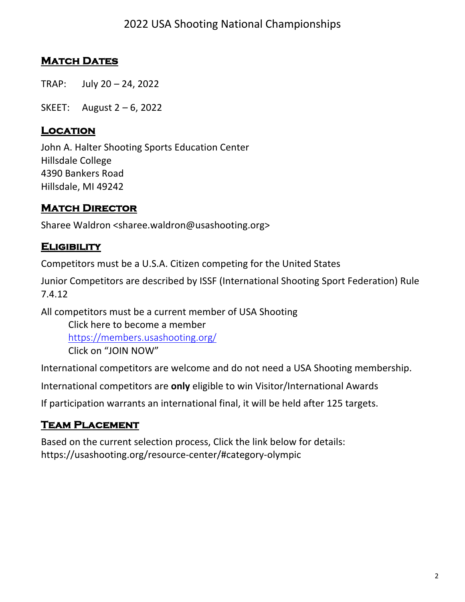# **MATCH DATES**

TRAP: July 20 – 24, 2022

SKEET: August 2 – 6, 2022

#### **Location**

John A. Halter Shooting Sports Education Center Hillsdale College 4390 Bankers Road Hillsdale, MI 49242

#### **MATCH DIRECTOR**

Sharee Waldron <sharee.waldron@usashooting.org>

#### **Eligibility**

Competitors must be a U.S.A. Citizen competing for the United States

Junior Competitors are described by ISSF (International Shooting Sport Federation) Rule 7.4.12

All competitors must be a current member of USA Shooting Click here to become a member https://members.usashooting.org/ Click on "JOIN NOW"

International competitors are welcome and do not need a USA Shooting membership.

International competitors are **only** eligible to win Visitor/International Awards

If participation warrants an international final, it will be held after 125 targets.

#### **Team Placement**

Based on the current selection process, Click the link below for details: https://usashooting.org/resource-center/#category-olympic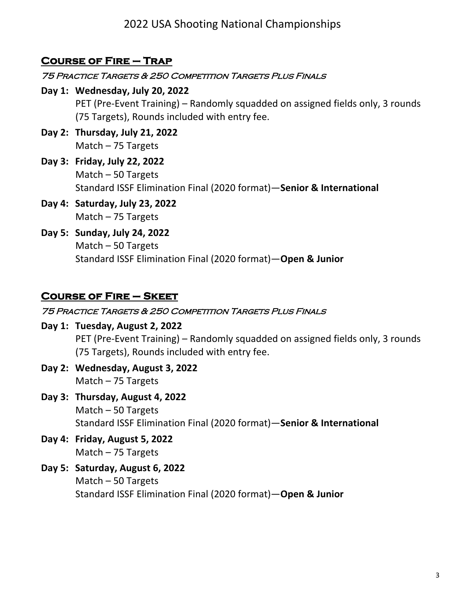# **Course of Fire – Trap**

#### 75 Practice Targets & 250 Competition Targets Plus Finals

- **Day 1: Wednesday, July 20, 2022** PET (Pre-Event Training) – Randomly squadded on assigned fields only, 3 rounds (75 Targets), Rounds included with entry fee.
- **Day 2: Thursday, July 21, 2022** Match – 75 Targets
- **Day 3: Friday, July 22, 2022** Match – 50 Targets Standard ISSF Elimination Final (2020 format)—**Senior & International**
- **Day 4: Saturday, July 23, 2022** Match – 75 Targets
- **Day 5: Sunday, July 24, 2022** Match – 50 Targets Standard ISSF Elimination Final (2020 format)—**Open & Junior**

### **Course of Fire – Skeet**

#### 75 Practice Targets & 250 Competition Targets Plus Finals

- **Day 1: Tuesday, August 2, 2022** PET (Pre-Event Training) – Randomly squadded on assigned fields only, 3 rounds (75 Targets), Rounds included with entry fee.
- **Day 2: Wednesday, August 3, 2022** Match – 75 Targets
- **Day 3: Thursday, August 4, 2022** Match – 50 Targets Standard ISSF Elimination Final (2020 format)—**Senior & International**
- **Day 4: Friday, August 5, 2022** Match – 75 Targets
- **Day 5: Saturday, August 6, 2022** Match – 50 Targets Standard ISSF Elimination Final (2020 format)—**Open & Junior**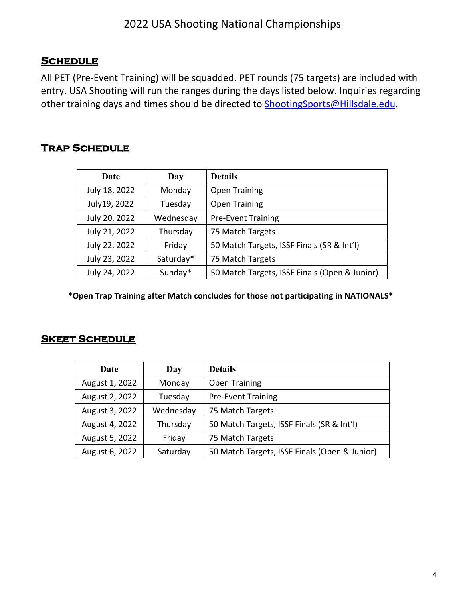#### **Schedule**

All PET (Pre-Event Training) will be squadded. PET rounds (75 targets) are included with entry. USA Shooting will run the ranges during the days listed below. Inquiries regarding other training days and times should be directed to ShootingSports@Hillsdale.edu.

#### **Trap Schedule**

| Date          | Day       | <b>Details</b>                                |
|---------------|-----------|-----------------------------------------------|
| July 18, 2022 | Monday    | <b>Open Training</b>                          |
| July19, 2022  | Tuesday   | <b>Open Training</b>                          |
| July 20, 2022 | Wednesday | <b>Pre-Event Training</b>                     |
| July 21, 2022 | Thursday  | 75 Match Targets                              |
| July 22, 2022 | Friday    | 50 Match Targets, ISSF Finals (SR & Int'l)    |
| July 23, 2022 | Saturday* | 75 Match Targets                              |
| July 24, 2022 | Sunday*   | 50 Match Targets, ISSF Finals (Open & Junior) |

**\*Open Trap Training after Match concludes for those not participating in NATIONALS\***

#### **Skeet Schedule**

| Date           | Day       | <b>Details</b>                                |
|----------------|-----------|-----------------------------------------------|
| August 1, 2022 | Monday    | <b>Open Training</b>                          |
| August 2, 2022 | Tuesday   | <b>Pre-Event Training</b>                     |
| August 3, 2022 | Wednesday | 75 Match Targets                              |
| August 4, 2022 | Thursday  | 50 Match Targets, ISSF Finals (SR & Int'l)    |
| August 5, 2022 | Friday    | 75 Match Targets                              |
| August 6, 2022 | Saturday  | 50 Match Targets, ISSF Finals (Open & Junior) |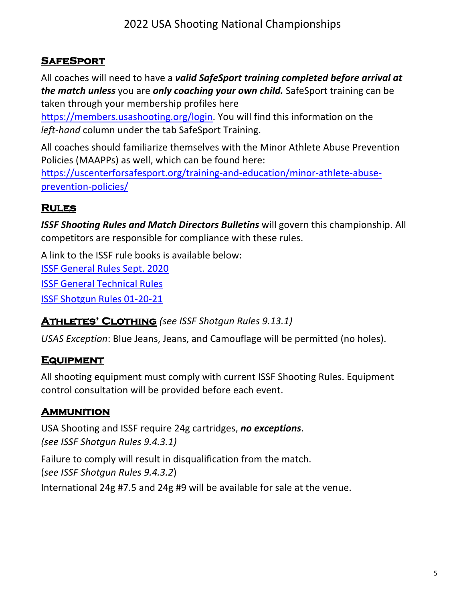# **SafeSport**

All coaches will need to have a *valid SafeSport training completed before arrival at the match unless* you are *only coaching your own child.* SafeSport training can be taken through your membership profiles here

https://members.usashooting.org/login. You will find this information on the *left-hand* column under the tab SafeSport Training.

All coaches should familiarize themselves with the Minor Athlete Abuse Prevention Policies (MAAPPs) as well, which can be found here:

https://uscenterforsafesport.org/training-and-education/minor-athlete-abuseprevention-policies/

# **Rules**

*ISSF Shooting Rules and Match Directors Bulletins* will govern this championship. All competitors are responsible for compliance with these rules.

A link to the ISSF rule books is available below:

ISSF General Rules Sept. 2020

ISSF General Technical Rules

ISSF Shotgun Rules 01-20-21

# **Athletes' Clothing** *(see ISSF Shotgun Rules 9.13.1)*

*USAS Exception*: Blue Jeans, Jeans, and Camouflage will be permitted (no holes).

# **Equipment**

All shooting equipment must comply with current ISSF Shooting Rules. Equipment control consultation will be provided before each event.

# **Ammunition**

USA Shooting and ISSF require 24g cartridges, *no exceptions*. *(see ISSF Shotgun Rules 9.4.3.1)*

Failure to comply will result in disqualification from the match.

(*see ISSF Shotgun Rules 9.4.3.2*)

International 24g #7.5 and 24g #9 will be available for sale at the venue.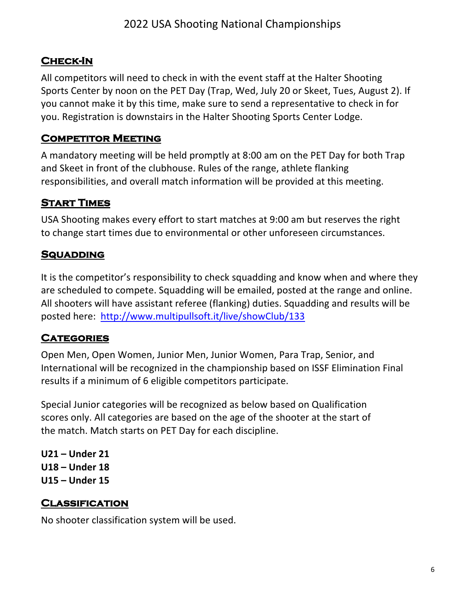# **Check-In**

All competitors will need to check in with the event staff at the Halter Shooting Sports Center by noon on the PET Day (Trap, Wed, July 20 or Skeet, Tues, August 2). If you cannot make it by this time, make sure to send a representative to check in for you. Registration is downstairs in the Halter Shooting Sports Center Lodge.

# **Competitor Meeting**

A mandatory meeting will be held promptly at 8:00 am on the PET Day for both Trap and Skeet in front of the clubhouse. Rules of the range, athlete flanking responsibilities, and overall match information will be provided at this meeting.

# **Start Times**

USA Shooting makes every effort to start matches at 9:00 am but reserves the right to change start times due to environmental or other unforeseen circumstances.

# **Squadding**

It is the competitor's responsibility to check squadding and know when and where they are scheduled to compete. Squadding will be emailed, posted at the range and online. All shooters will have assistant referee (flanking) duties. Squadding and results will be posted here: http://www.multipullsoft.it/live/showClub/133

# **Categories**

Open Men, Open Women, Junior Men, Junior Women, Para Trap, Senior, and International will be recognized in the championship based on ISSF Elimination Final results if a minimum of 6 eligible competitors participate.

Special Junior categories will be recognized as below based on Qualification scores only. All categories are based on the age of the shooter at the start of the match. Match starts on PET Day for each discipline.

**U21 – Under 21 U18 – Under 18 U15 – Under 15**

# **Classification**

No shooter classification system will be used.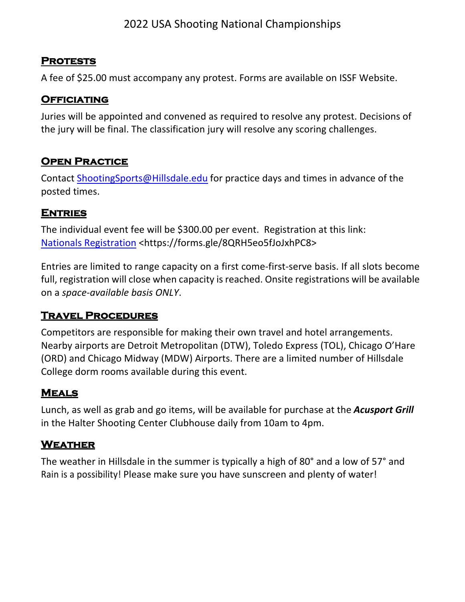#### **Protests**

A fee of \$25.00 must accompany any protest. Forms are available on ISSF Website.

### **Officiating**

Juries will be appointed and convened as required to resolve any protest. Decisions of the jury will be final. The classification jury will resolve any scoring challenges.

# **OPEN PRACTICE**

Contact ShootingSports@Hillsdale.edu for practice days and times in advance of the posted times.

#### **Entries**

The individual event fee will be \$300.00 per event. Registration at this link: Nationals Registration <https://forms.gle/8QRH5eo5fJoJxhPC8>

Entries are limited to range capacity on a first come-first-serve basis. If all slots become full, registration will close when capacity is reached. Onsite registrations will be available on a *space-available basis ONLY*.

# **Travel Procedures**

Competitors are responsible for making their own travel and hotel arrangements. Nearby airports are Detroit Metropolitan (DTW), Toledo Express (TOL), Chicago O'Hare (ORD) and Chicago Midway (MDW) Airports. There are a limited number of Hillsdale College dorm rooms available during this event.

# **Meals**

Lunch, as well as grab and go items, will be available for purchase at the *Acusport Grill* in the Halter Shooting Center Clubhouse daily from 10am to 4pm.

# **Weather**

The weather in Hillsdale in the summer is typically a high of 80° and a low of 57° and Rain is a possibility! Please make sure you have sunscreen and plenty of water!